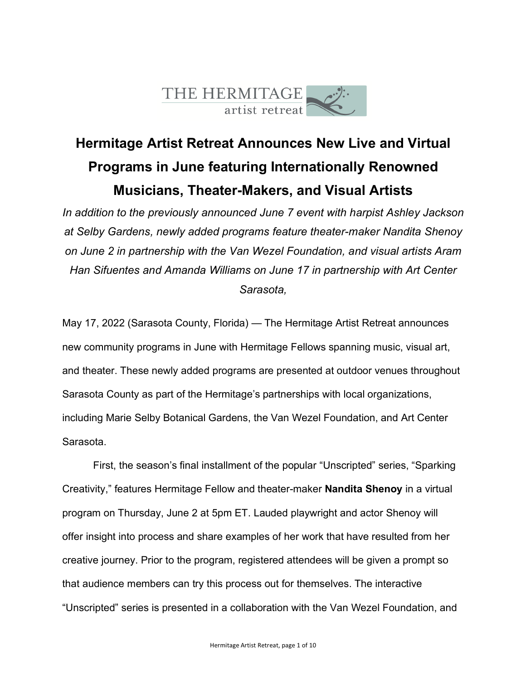

# **Hermitage Artist Retreat Announces New Live and Virtual Programs in June featuring Internationally Renowned Musicians, Theater-Makers, and Visual Artists**

*In addition to the previously announced June 7 event with harpist Ashley Jackson at Selby Gardens, newly added programs feature theater-maker Nandita Shenoy on June 2 in partnership with the Van Wezel Foundation, and visual artists Aram Han Sifuentes and Amanda Williams on June 17 in partnership with Art Center Sarasota,*

May 17, 2022 (Sarasota County, Florida) — The Hermitage Artist Retreat announces new community programs in June with Hermitage Fellows spanning music, visual art, and theater. These newly added programs are presented at outdoor venues throughout Sarasota County as part of the Hermitage's partnerships with local organizations, including Marie Selby Botanical Gardens, the Van Wezel Foundation, and Art Center Sarasota.

First, the season's final installment of the popular "Unscripted" series, "Sparking Creativity," features Hermitage Fellow and theater-maker **Nandita Shenoy** in a virtual program on Thursday, June 2 at 5pm ET. Lauded playwright and actor Shenoy will offer insight into process and share examples of her work that have resulted from her creative journey. Prior to the program, registered attendees will be given a prompt so that audience members can try this process out for themselves. The interactive "Unscripted" series is presented in a collaboration with the Van Wezel Foundation, and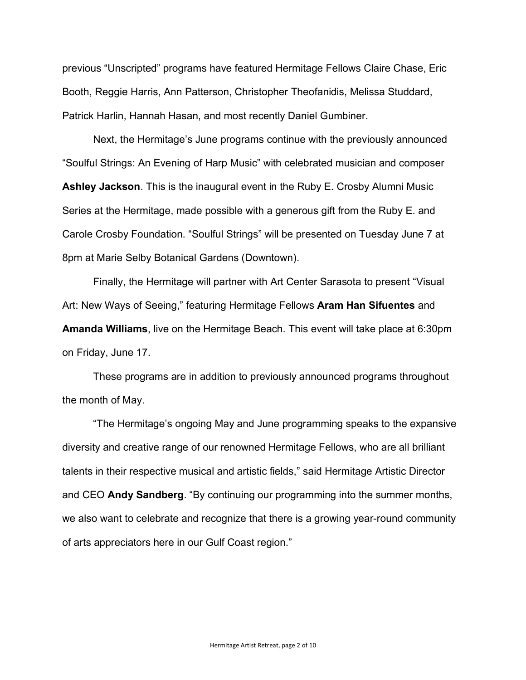previous "Unscripted" programs have featured Hermitage Fellows Claire Chase, Eric Booth, Reggie Harris, Ann Patterson, Christopher Theofanidis, Melissa Studdard, Patrick Harlin, Hannah Hasan, and most recently Daniel Gumbiner.

Next, the Hermitage's June programs continue with the previously announced "Soulful Strings: An Evening of Harp Music" with celebrated musician and composer **Ashley Jackson**. This is the inaugural event in the Ruby E. Crosby Alumni Music Series at the Hermitage, made possible with a generous gift from the Ruby E. and Carole Crosby Foundation. "Soulful Strings" will be presented on Tuesday June 7 at 8pm at Marie Selby Botanical Gardens (Downtown).

Finally, the Hermitage will partner with Art Center Sarasota to present "Visual Art: New Ways of Seeing," featuring Hermitage Fellows **Aram Han Sifuentes** and **Amanda Williams**, live on the Hermitage Beach. This event will take place at 6:30pm on Friday, June 17.

These programs are in addition to previously announced programs throughout the month of May.

"The Hermitage's ongoing May and June programming speaks to the expansive diversity and creative range of our renowned Hermitage Fellows, who are all brilliant talents in their respective musical and artistic fields," said Hermitage Artistic Director and CEO **Andy Sandberg**. "By continuing our programming into the summer months, we also want to celebrate and recognize that there is a growing year-round community of arts appreciators here in our Gulf Coast region."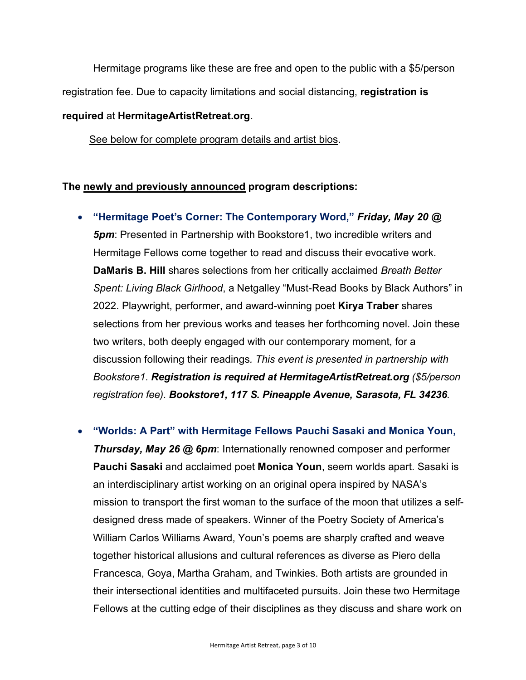Hermitage programs like these are free and open to the public with a \$5/person registration fee. Due to capacity limitations and social distancing, **registration is** 

# **required** at **HermitageArtistRetreat.org**.

See below for complete program details and artist bios.

# **The newly and previously announced program descriptions:**

• **"Hermitage Poet's Corner: The Contemporary Word,"** *Friday, May 20 @ 5pm*: Presented in Partnership with Bookstore1, two incredible writers and Hermitage Fellows come together to read and discuss their evocative work. **DaMaris B. Hill** shares selections from her critically acclaimed *Breath Better Spent: Living Black Girlhood*, a Netgalley "Must-Read Books by Black Authors" in 2022. Playwright, performer, and award-winning poet **Kirya Traber** shares selections from her previous works and teases her forthcoming novel. Join these two writers, both deeply engaged with our contemporary moment, for a discussion following their readings*. This event is presented in partnership with Bookstore1. Registration is required at HermitageArtistRetreat.org (\$5/person registration fee). Bookstore1, 117 S. Pineapple Avenue, Sarasota, FL 34236.*

• **"Worlds: A Part" with Hermitage Fellows Pauchi Sasaki and Monica Youn,**  *Thursday, May 26 @ 6pm*: Internationally renowned composer and performer **Pauchi Sasaki** and acclaimed poet **Monica Youn**, seem worlds apart. Sasaki is an interdisciplinary artist working on an original opera inspired by NASA's mission to transport the first woman to the surface of the moon that utilizes a self-

designed dress made of speakers. Winner of the Poetry Society of America's William Carlos Williams Award, Youn's poems are sharply crafted and weave together historical allusions and cultural references as diverse as Piero della Francesca, Goya, Martha Graham, and Twinkies. Both artists are grounded in their intersectional identities and multifaceted pursuits. Join these two Hermitage Fellows at the cutting edge of their disciplines as they discuss and share work on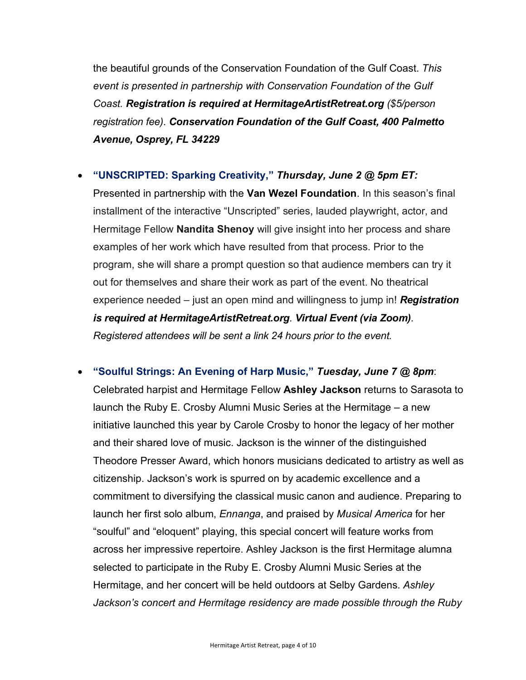the beautiful grounds of the Conservation Foundation of the Gulf Coast. *This event is presented in partnership with Conservation Foundation of the Gulf Coast. Registration is required at HermitageArtistRetreat.org (\$5/person registration fee). Conservation Foundation of the Gulf Coast, 400 Palmetto Avenue, Osprey, FL 34229*

# • **"UNSCRIPTED: Sparking Creativity,"** *Thursday, June 2 @ 5pm ET:*

Presented in partnership with the **Van Wezel Foundation**. In this season's final installment of the interactive "Unscripted" series, lauded playwright, actor, and Hermitage Fellow **Nandita Shenoy** will give insight into her process and share examples of her work which have resulted from that process. Prior to the program, she will share a prompt question so that audience members can try it out for themselves and share their work as part of the event. No theatrical experience needed – just an open mind and willingness to jump in! *Registration is required at HermitageArtistRetreat.org. Virtual Event (via Zoom). Registered attendees will be sent a link 24 hours prior to the event.*

• **"Soulful Strings: An Evening of Harp Music,"** *Tuesday, June 7 @ 8pm*: Celebrated harpist and Hermitage Fellow **Ashley Jackson** returns to Sarasota to launch the Ruby E. Crosby Alumni Music Series at the Hermitage – a new initiative launched this year by Carole Crosby to honor the legacy of her mother and their shared love of music. Jackson is the winner of the distinguished Theodore Presser Award, which honors musicians dedicated to artistry as well as citizenship. Jackson's work is spurred on by academic excellence and a commitment to diversifying the classical music canon and audience. Preparing to launch her first solo album, *Ennanga*, and praised by *Musical America* for her "soulful" and "eloquent" playing, this special concert will feature works from across her impressive repertoire. Ashley Jackson is the first Hermitage alumna selected to participate in the Ruby E. Crosby Alumni Music Series at the Hermitage, and her concert will be held outdoors at Selby Gardens. *Ashley Jackson's concert and Hermitage residency are made possible through the Ruby*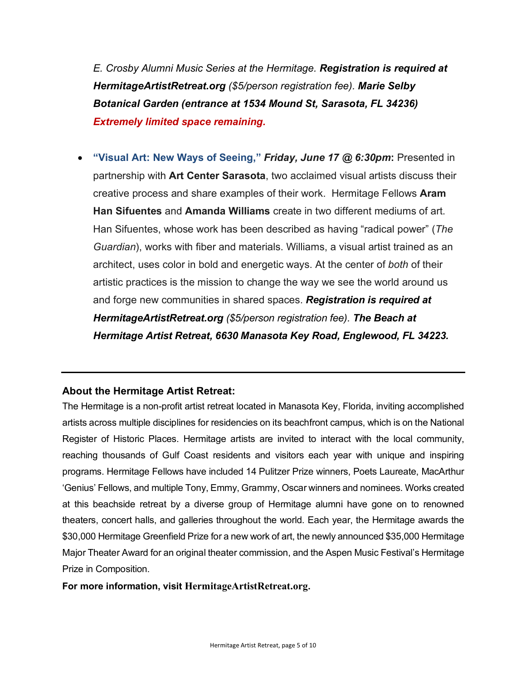*E. Crosby Alumni Music Series at the Hermitage. Registration is required at HermitageArtistRetreat.org (\$5/person registration fee). Marie Selby Botanical Garden (entrance at 1534 Mound St, Sarasota, FL 34236) Extremely limited space remaining.*

• **"Visual Art: New Ways of Seeing,"** *Friday, June 17 @ 6:30pm***:** Presented in partnership with **Art Center Sarasota**, two acclaimed visual artists discuss their creative process and share examples of their work. Hermitage Fellows **Aram Han Sifuentes** and **Amanda Williams** create in two different mediums of art. Han Sifuentes, whose work has been described as having "radical power" (*The Guardian*), works with fiber and materials. Williams, a visual artist trained as an architect, uses color in bold and energetic ways. At the center of *both* of their artistic practices is the mission to change the way we see the world around us and forge new communities in shared spaces. *Registration is required at HermitageArtistRetreat.org (\$5/person registration fee). The Beach at Hermitage Artist Retreat, 6630 Manasota Key Road, Englewood, FL 34223.*

# **About the Hermitage Artist Retreat:**

The Hermitage is a non-profit artist retreat located in Manasota Key, Florida, inviting accomplished artists across multiple disciplines for residencies on its beachfront campus, which is on the National Register of Historic Places. Hermitage artists are invited to interact with the local community, reaching thousands of Gulf Coast residents and visitors each year with unique and inspiring programs. Hermitage Fellows have included 14 Pulitzer Prize winners, Poets Laureate, MacArthur 'Genius' Fellows, and multiple Tony, Emmy, Grammy, Oscar winners and nominees. Works created at this beachside retreat by a diverse group of Hermitage alumni have gone on to renowned theaters, concert halls, and galleries throughout the world. Each year, the Hermitage awards the \$30,000 Hermitage Greenfield Prize for a new work of art, the newly announced \$35,000 Hermitage Major Theater Award for an original theater commission, and the Aspen Music Festival's Hermitage Prize in Composition.

#### **For more information, visit HermitageArtistRetreat.org.**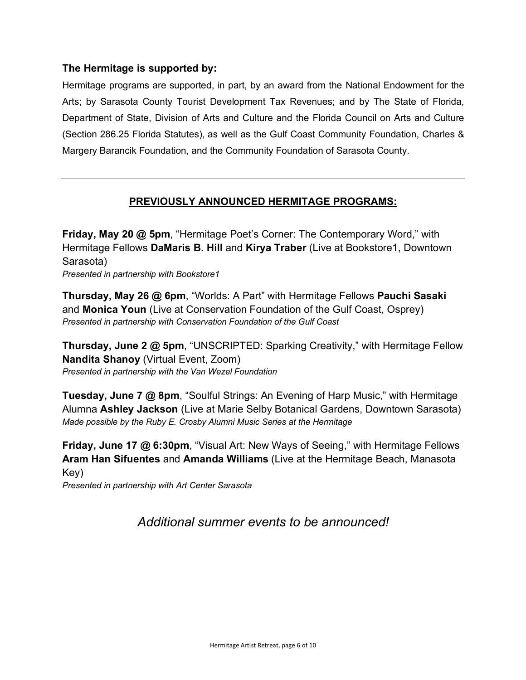# **The Hermitage is supported by:**

Hermitage programs are supported, in part, by an award from the National Endowment for the Arts; by Sarasota County Tourist Development Tax Revenues; and by The State of Florida, Department of State, Division of Arts and Culture and the Florida Council on Arts and Culture (Section 286.25 Florida Statutes), as well as the Gulf Coast Community Foundation, Charles & Margery Barancik Foundation, and the Community Foundation of Sarasota County.

# **PREVIOUSLY ANNOUNCED HERMITAGE PROGRAMS:**

**Friday, May 20 @ 5pm**, "Hermitage Poet's Corner: The Contemporary Word," with Hermitage Fellows **DaMaris B. Hill** and **Kirya Traber** (Live at Bookstore1, Downtown Sarasota) *Presented in partnership with Bookstore1*

**Thursday, May 26 @ 6pm**, "Worlds: A Part" with Hermitage Fellows **Pauchi Sasaki** and **Monica Youn** (Live at Conservation Foundation of the Gulf Coast, Osprey) *Presented in partnership with Conservation Foundation of the Gulf Coast*

**Thursday, June 2 @ 5pm**, "UNSCRIPTED: Sparking Creativity," with Hermitage Fellow **Nandita Shanoy** (Virtual Event, Zoom) *Presented in partnership with the Van Wezel Foundation*

**Tuesday, June 7 @ 8pm**, "Soulful Strings: An Evening of Harp Music," with Hermitage Alumna **Ashley Jackson** (Live at Marie Selby Botanical Gardens, Downtown Sarasota) *Made possible by the Ruby E. Crosby Alumni Music Series at the Hermitage*

**Friday, June 17 @ 6:30pm**, "Visual Art: New Ways of Seeing," with Hermitage Fellows **Aram Han Sifuentes** and **Amanda Williams** (Live at the Hermitage Beach, Manasota Key)

*Presented in partnership with Art Center Sarasota*

*Additional summer events to be announced!*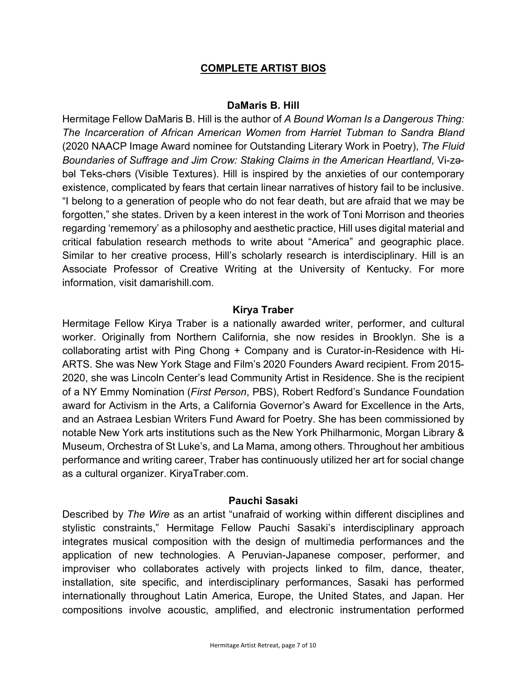# **COMPLETE ARTIST BIOS**

#### **DaMaris B. Hill**

Hermitage Fellow DaMaris B. Hill is the author of *A Bound Woman Is a Dangerous Thing: The Incarceration of African American Women from Harriet Tubman to Sandra Bland*  (2020 NAACP Image Award nominee for Outstanding Literary Work in Poetry), *The Fluid Boundaries of Suffrage and Jim Crow: Staking Claims in the American Heartland*, Vi-zəbəl Teks-chərs (Visible Textures). Hill is inspired by the anxieties of our contemporary existence, complicated by fears that certain linear narratives of history fail to be inclusive. "I belong to a generation of people who do not fear death, but are afraid that we may be forgotten," she states. Driven by a keen interest in the work of Toni Morrison and theories regarding 'rememory' as a philosophy and aesthetic practice, Hill uses digital material and critical fabulation research methods to write about "America" and geographic place. Similar to her creative process, Hill's scholarly research is interdisciplinary. Hill is an Associate Professor of Creative Writing at the University of Kentucky. For more information, visit damarishill.com.

## **Kirya Traber**

Hermitage Fellow Kirya Traber is a nationally awarded writer, performer, and cultural worker. Originally from Northern California, she now resides in Brooklyn. She is a collaborating artist with Ping Chong + Company and is Curator-in-Residence with Hi-ARTS. She was New York Stage and Film's 2020 Founders Award recipient. From 2015- 2020, she was Lincoln Center's lead Community Artist in Residence. She is the recipient of a NY Emmy Nomination (*First Person*, PBS), Robert Redford's Sundance Foundation award for Activism in the Arts, a California Governor's Award for Excellence in the Arts, and an Astraea Lesbian Writers Fund Award for Poetry. She has been commissioned by notable New York arts institutions such as the New York Philharmonic, Morgan Library & Museum, Orchestra of St Luke's, and La Mama, among others. Throughout her ambitious performance and writing career, Traber has continuously utilized her art for social change as a cultural organizer. KiryaTraber.com.

#### **Pauchi Sasaki**

Described by *The Wire* as an artist "unafraid of working within different disciplines and stylistic constraints," Hermitage Fellow Pauchi Sasaki's interdisciplinary approach integrates musical composition with the design of multimedia performances and the application of new technologies. A Peruvian-Japanese composer, performer, and improviser who collaborates actively with projects linked to film, dance, theater, installation, site specific, and interdisciplinary performances, Sasaki has performed internationally throughout Latin America, Europe, the United States, and Japan. Her compositions involve acoustic, amplified, and electronic instrumentation performed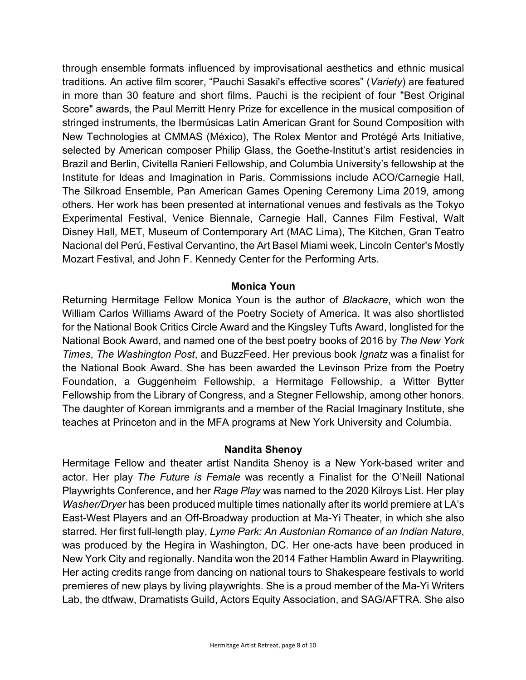through ensemble formats influenced by improvisational aesthetics and ethnic musical traditions. An active film scorer, "Pauchi Sasaki's effective scores" (*Variety*) are featured in more than 30 feature and short films. Pauchi is the recipient of four "Best Original Score" awards, the Paul Merritt Henry Prize for excellence in the musical composition of stringed instruments, the Ibermúsicas Latin American Grant for Sound Composition with New Technologies at CMMAS (México), The Rolex Mentor and Protégé Arts Initiative, selected by American composer Philip Glass, the Goethe-Institut's artist residencies in Brazil and Berlin, Civitella Ranieri Fellowship, and Columbia University's fellowship at the Institute for Ideas and Imagination in Paris. Commissions include ACO/Carnegie Hall, The Silkroad Ensemble, Pan American Games Opening Ceremony Lima 2019, among others. Her work has been presented at international venues and festivals as the Tokyo Experimental Festival, Venice Biennale, Carnegie Hall, Cannes Film Festival, Walt Disney Hall, MET, Museum of Contemporary Art (MAC Lima), The Kitchen, Gran Teatro Nacional del Perú, Festival Cervantino, the Art Basel Miami week, Lincoln Center's Mostly Mozart Festival, and John F. Kennedy Center for the Performing Arts.

## **Monica Youn**

Returning Hermitage Fellow Monica Youn is the author of *Blackacre*, which won the William Carlos Williams Award of the Poetry Society of America. It was also shortlisted for the National Book Critics Circle Award and the Kingsley Tufts Award, longlisted for the National Book Award, and named one of the best poetry books of 2016 by *The New York Times*, *The Washington Post*, and BuzzFeed. Her previous book *Ignatz* was a finalist for the National Book Award. She has been awarded the Levinson Prize from the Poetry Foundation, a Guggenheim Fellowship, a Hermitage Fellowship, a Witter Bytter Fellowship from the Library of Congress, and a Stegner Fellowship, among other honors. The daughter of Korean immigrants and a member of the Racial Imaginary Institute, she teaches at Princeton and in the MFA programs at New York University and Columbia.

# **Nandita Shenoy**

Hermitage Fellow and theater artist Nandita Shenoy is a New York-based writer and actor. Her play *The Future is Female* was recently a Finalist for the O'Neill National Playwrights Conference, and her *Rage Play* was named to the 2020 Kilroys List. Her play *Washer/Dryer* has been produced multiple times nationally after its world premiere at LA's East-West Players and an Off-Broadway production at Ma-Yi Theater, in which she also starred. Her first full-length play, *Lyme Park: An Austonian Romance of an Indian Nature*, was produced by the Hegira in Washington, DC. Her one-acts have been produced in New York City and regionally. Nandita won the 2014 Father Hamblin Award in Playwriting. Her acting credits range from dancing on national tours to Shakespeare festivals to world premieres of new plays by living playwrights. She is a proud member of the Ma-Yi Writers Lab, the dtfwaw, Dramatists Guild, Actors Equity Association, and SAG/AFTRA. She also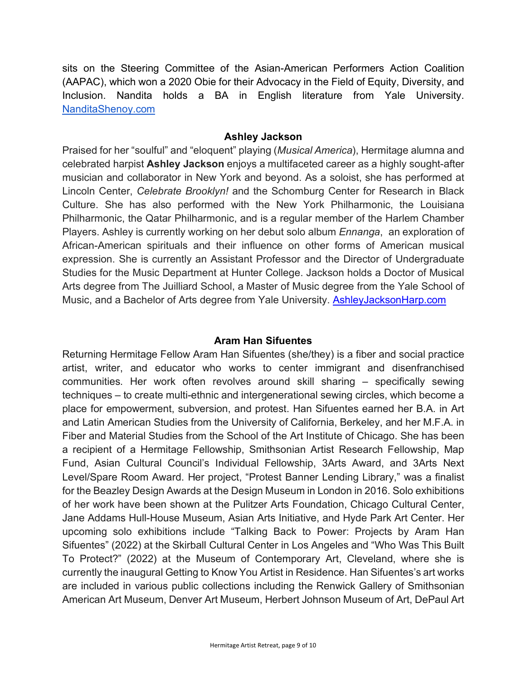sits on the Steering Committee of the Asian-American Performers Action Coalition (AAPAC), which won a 2020 Obie for their Advocacy in the Field of Equity, Diversity, and Inclusion. Nandita holds a BA in English literature from Yale University. NanditaShenoy.com

## **Ashley Jackson**

Praised for her "soulful" and "eloquent" playing (*Musical America*), Hermitage alumna and celebrated harpist **Ashley Jackson** enjoys a multifaceted career as a highly sought-after musician and collaborator in New York and beyond. As a soloist, she has performed at Lincoln Center, *Celebrate Brooklyn!* and the Schomburg Center for Research in Black Culture. She has also performed with the New York Philharmonic, the Louisiana Philharmonic, the Qatar Philharmonic, and is a regular member of the Harlem Chamber Players. Ashley is currently working on her debut solo album *Ennanga*, an exploration of African-American spirituals and their influence on other forms of American musical expression. She is currently an Assistant Professor and the Director of Undergraduate Studies for the Music Department at Hunter College. Jackson holds a Doctor of Musical Arts degree from The Juilliard School, a Master of Music degree from the Yale School of Music, and a Bachelor of Arts degree from Yale University. AshleyJacksonHarp.com

# **Aram Han Sifuentes**

Returning Hermitage Fellow Aram Han Sifuentes (she/they) is a fiber and social practice artist, writer, and educator who works to center immigrant and disenfranchised communities. Her work often revolves around skill sharing – specifically sewing techniques – to create multi-ethnic and intergenerational sewing circles, which become a place for empowerment, subversion, and protest. Han Sifuentes earned her B.A. in Art and Latin American Studies from the University of California, Berkeley, and her M.F.A. in Fiber and Material Studies from the School of the Art Institute of Chicago. She has been a recipient of a Hermitage Fellowship, Smithsonian Artist Research Fellowship, Map Fund, Asian Cultural Council's Individual Fellowship, 3Arts Award, and 3Arts Next Level/Spare Room Award. Her project, "Protest Banner Lending Library," was a finalist for the Beazley Design Awards at the Design Museum in London in 2016. Solo exhibitions of her work have been shown at the Pulitzer Arts Foundation, Chicago Cultural Center, Jane Addams Hull-House Museum, Asian Arts Initiative, and Hyde Park Art Center. Her upcoming solo exhibitions include "Talking Back to Power: Projects by Aram Han Sifuentes" (2022) at the Skirball Cultural Center in Los Angeles and "Who Was This Built To Protect?" (2022) at the Museum of Contemporary Art, Cleveland, where she is currently the inaugural Getting to Know You Artist in Residence. Han Sifuentes's art works are included in various public collections including the Renwick Gallery of Smithsonian American Art Museum, Denver Art Museum, Herbert Johnson Museum of Art, DePaul Art